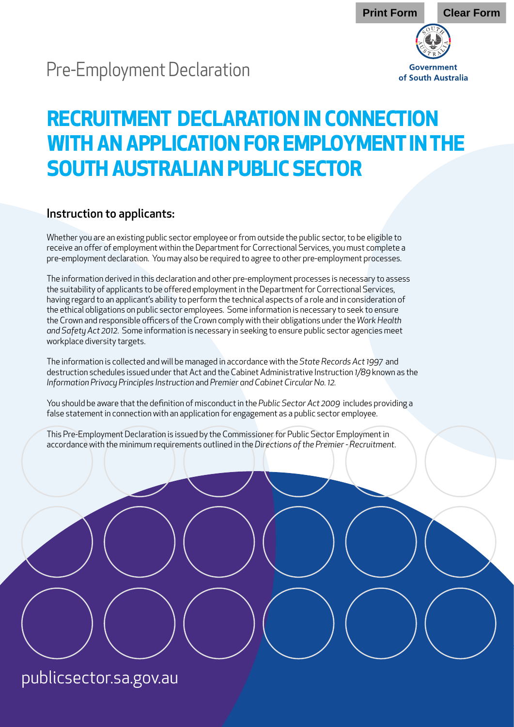## Pre-Employment Declaration

# Government of South Australia

## **RECRUITMENT DECLARATION IN CONNECTION WITH AN APPLICATION FOR EMPLOYMENT IN THE SOUTH AUSTRALIAN PUBLIC SECTOR**

#### Instruction to applicants:

Whether you are an existing public sector employee or from outside the public sector, to be eligible to receive an offer of employment within the Department for Correctional Services, you must complete a pre-employment declaration. You may also be required to agree to other pre-employment processes.

The information derived in this declaration and other pre-employment processes is necessary to assess the suitability of applicants to be offered employment in the Department for Correctional Services, having regard to an applicant's ability to perform the technical aspects of a role and in consideration of the ethical obligations on public sector employees. Some information is necessary to seek to ensure the Crown and responsible officers of the Crown comply with their obligations under the *Work Health and Safety Act 2012*. Some information is necessary in seeking to ensure public sector agencies meet workplace diversity targets.

The information is collected and will be managed in accordance with the *State Records Act 1997* and destruction schedules issued under that Act and the Cabinet Administrative Instruction *1/89* known as the *Information Privacy Principles Instruction* and *Premier and Cabinet Circular No. 12.*

You should be aware that the definition of misconduct in the *Public Sector Act 2009* includes providing a false statement in connection with an application for engagement as a public sector employee.

This Pre-Employment Declaration is issued by the Commissioner for Public Sector Employment in accordance with the minimum requirements outlined in the *Directions of the Premier - Recruitment*.

publicsector.sa.gov.au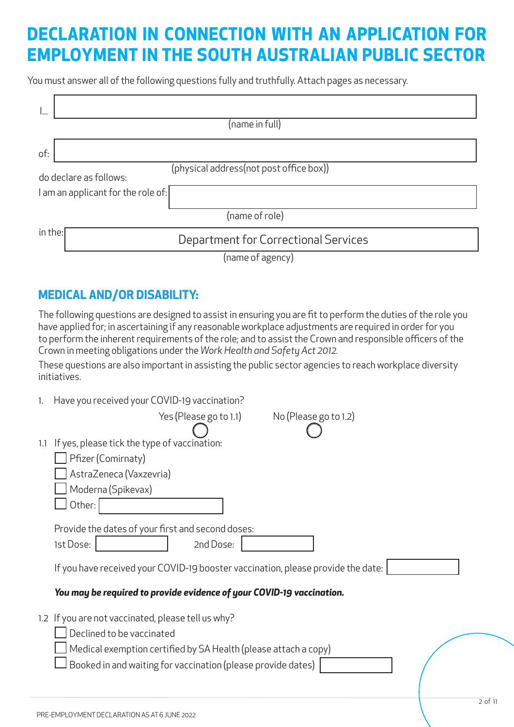## **DECLARATION IN CONNECTION WITH AN APPLICATION FOR EMPLOYMENT IN THE SOUTH AUSTRALIAN PUBLIC SECTOR**

You must answer all of the following questions fully and truthfully. Attach pages as necessary.

|         | (name in full)                                                    |  |  |  |  |  |
|---------|-------------------------------------------------------------------|--|--|--|--|--|
| of:     |                                                                   |  |  |  |  |  |
|         | (physical address(not post office box))<br>do declare as follows: |  |  |  |  |  |
|         |                                                                   |  |  |  |  |  |
|         | I am an applicant for the role of:                                |  |  |  |  |  |
|         | (name of role)                                                    |  |  |  |  |  |
| in the: | Department for Correctional Services                              |  |  |  |  |  |
|         | (name of agency)                                                  |  |  |  |  |  |

#### **MEDICAL AND/OR DISABILITY:**

The following questions are designed to assist in ensuring you are fit to perform the duties of the role you have applied for; in ascertaining if any reasonable workplace adjustments are required in order for you to perform the inherent requirements of the role; and to assist the Crown and responsible officers of the Crown in meeting obligations under the *Work Health and Safety Act 2012.* 

These questions are also important in assisting the public sector agencies to reach workplace diversity initiatives.

| 1.  | Have you received your COVID-19 vaccination?                                     |
|-----|----------------------------------------------------------------------------------|
|     | Yes (Please go to 1.1)<br>No (Please go to 1.2)                                  |
| 1.1 | If yes, please tick the type of vaccination:                                     |
|     | Pfizer (Comirnaty)                                                               |
|     | AstraZeneca (Vaxzevria)                                                          |
|     | Moderna (Spikevax)                                                               |
|     | Other:                                                                           |
|     | Provide the dates of your first and second doses:                                |
|     | 1st Dose:<br>2nd Dose:                                                           |
|     | If you have received your COVID-19 booster vaccination, please provide the date: |
|     | You may be required to provide evidence of your COVID-19 vaccination.            |
|     | 1.2 If you are not vaccinated, please tell us why?                               |
|     | Declined to be vaccinated                                                        |
|     | Medical exemption certified by SA Health (please attach a copy)                  |
|     | Booked in and waiting for vaccination (please provide dates)                     |
|     |                                                                                  |
|     |                                                                                  |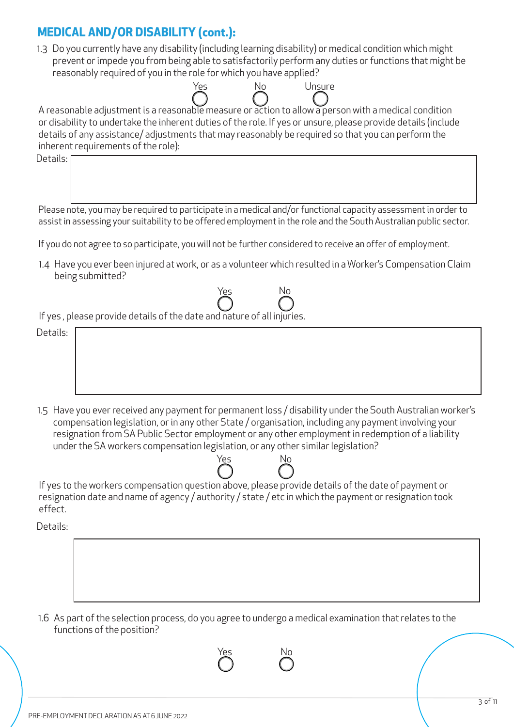#### **MEDICAL AND/OR DISABILITY (cont.):**

1.3 Do you currently have any disability (including learning disability) or medical condition which might prevent or impede you from being able to satisfactorily perform any duties or functions that might be reasonably required of you in the role for which you have applied?

No Unsure

| A reasonable adjustment is a reasonable measure or action to allow a person with a medical condition          |
|---------------------------------------------------------------------------------------------------------------|
| or disability to undertake the inherent duties of the role. If yes or unsure, please provide details (include |
| details of any assistance/adjustments that may reasonably be required so that you can perform the             |
| inherent requirements of the role):                                                                           |
| n.l.:1. r                                                                                                     |

Yes

Details:

Please note, you may be required to participate in a medical and/or functional capacity assessment in order to assist in assessing your suitability to be offered employment in the role and the South Australian public sector.

If you do not agree to so participate, you will not be further considered to receive an offer of employment.

Yes

1.4 Have you ever been injured at work, or as a volunteer which resulted in a Worker's Compensation Claim being submitted?

No

If yes , please provide details of the date and nature of all injuries.

# Details:

1.5 Have you ever received any payment for permanent loss / disability under the South Australian worker's compensation legislation, or in any other State / organisation, including any payment involving your resignation from SA Public Sector employment or any other employment in redemption of a liability under the SA workers compensation legislation, or any other similar legislation?



If yes to the workers compensation question above, please provide details of the date of payment or resignation date and name of agency / authority / state / etc in which the payment or resignation took effect.

Details:

1.6 As part of the selection process, do you agree to undergo a medical examination that relates to the functions of the position?

Yes No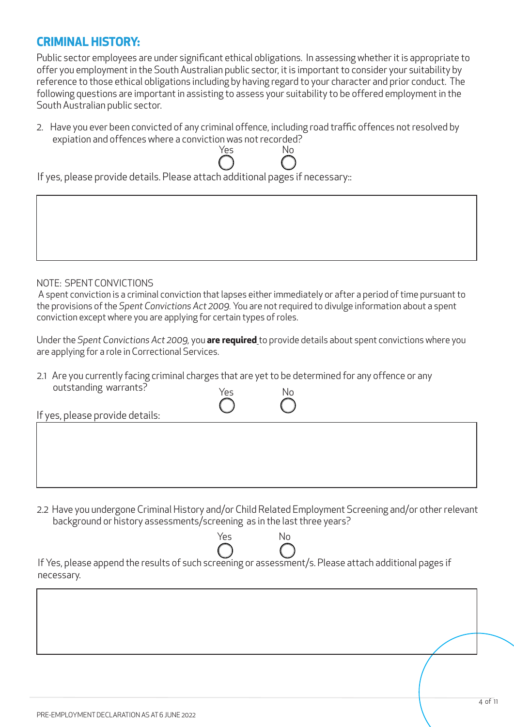#### **CRIMINAL HISTORY:**

Public sector employees are under significant ethical obligations. In assessing whether it is appropriate to offer you employment in the South Australian public sector, it is important to consider your suitability by reference to those ethical obligations including by having regard to your character and prior conduct. The following questions are important in assisting to assess your suitability to be offered employment in the South Australian public sector.

2. Have you ever been convicted of any criminal offence, including road traffic offences not resolved by expiation and offences where a conviction was not recorded?

Yes No

If yes, please provide details. Please attach additional pages if necessary::

NOTE: SPENT CONVICTIONS

 A spent conviction is a criminal conviction that lapses either immediately or after a period of time pursuant to the provisions of the *Spent Convictions Act 2009.* You are not required to divulge information about a spent conviction except where you are applying for certain types of roles.

Under the *Spent Convictions Act 2009,* you **are required** to provide details about spent convictions where you are applying for a role in Correctional Services.

2.1 Are you currently facing criminal charges that are yet to be determined for any offence or any outstanding warrants? Yes No

| If yes, please provide details: |  |  |
|---------------------------------|--|--|
|                                 |  |  |
|                                 |  |  |
|                                 |  |  |
|                                 |  |  |

2.2 Have you undergone Criminal History and/or Child Related Employment Screening and/or other relevant background or history assessments/screening as in the last three years?

If Yes, please append the results of such screening or assessment/s. Please attach additional pages if necessary. Yes No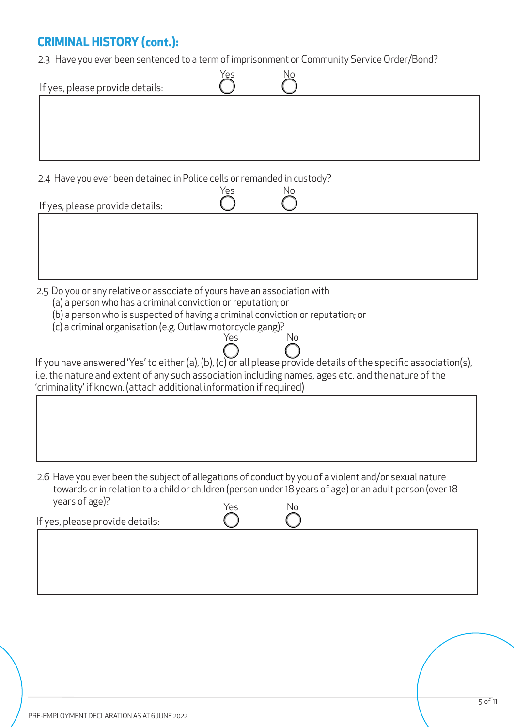#### **CRIMINAL HISTORY (cont.):**

2.3 Have you ever been sentenced to a term of imprisonment or Community Service Order/Bond?

| Yes<br>If yes, please provide details:                                                                                                                                                                        | No                                                                                                               |  |  |  |  |
|---------------------------------------------------------------------------------------------------------------------------------------------------------------------------------------------------------------|------------------------------------------------------------------------------------------------------------------|--|--|--|--|
|                                                                                                                                                                                                               |                                                                                                                  |  |  |  |  |
|                                                                                                                                                                                                               |                                                                                                                  |  |  |  |  |
| 2.4 Have you ever been detained in Police cells or remanded in custody?                                                                                                                                       |                                                                                                                  |  |  |  |  |
| Yes<br>If yes, please provide details:                                                                                                                                                                        | No                                                                                                               |  |  |  |  |
|                                                                                                                                                                                                               |                                                                                                                  |  |  |  |  |
|                                                                                                                                                                                                               |                                                                                                                  |  |  |  |  |
| 2.5 Do you or any relative or associate of yours have an association with                                                                                                                                     |                                                                                                                  |  |  |  |  |
| (a) a person who has a criminal conviction or reputation; or<br>(b) a person who is suspected of having a criminal conviction or reputation; or<br>(c) a criminal organisation (e.g. Outlaw motorcycle gang)? |                                                                                                                  |  |  |  |  |
| Yes                                                                                                                                                                                                           | No                                                                                                               |  |  |  |  |
|                                                                                                                                                                                                               | If you have answered 'Yes' to either (a), (b), (c) or all please provide details of the specific association(s), |  |  |  |  |
| i.e. the nature and extent of any such association including names, ages etc. and the nature of the                                                                                                           |                                                                                                                  |  |  |  |  |
| 'criminality' if known. (attach additional information if required)                                                                                                                                           |                                                                                                                  |  |  |  |  |

2.6 Have you ever been the subject of allegations of conduct by you of a violent and/or sexual nature towards or in relation to a child or children (person under 18 years of age) or an adult person (over 18 years of age)?

| $y$ cars or age).               | NC |  |
|---------------------------------|----|--|
| If yes, please provide details: |    |  |
|                                 |    |  |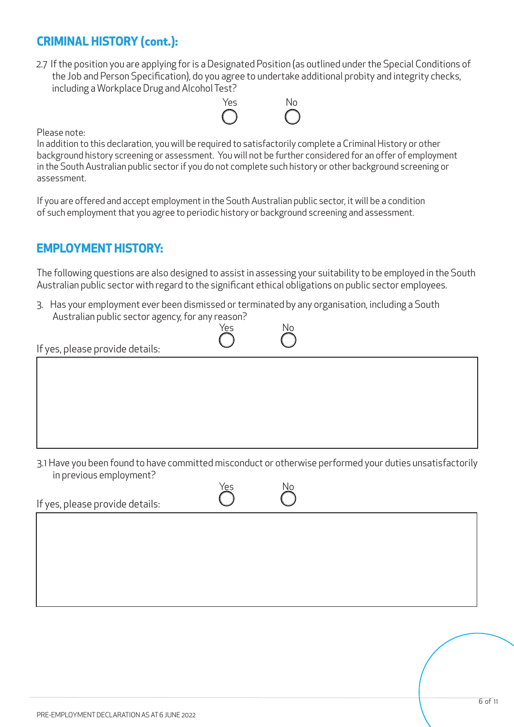#### **CRIMINAL HISTORY (cont.):**

2.7 If the position you are applying for is a Designated Position (as outlined under the Special Conditions of the Job and Person Specification), do you agree to undertake additional probity and integrity checks, including a Workplace Drug and Alcohol Test?



Please note:

In addition to this declaration, you will be required to satisfactorily complete a Criminal History or other background history screening or assessment. You will not be further considered for an offer of employment in the South Australian public sector if you do not complete such history or other background screening or assessment.

If you are offered and accept employment in the South Australian public sector, it will be a condition of such employment that you agree to periodic history or background screening and assessment.

#### **EMPLOYMENT HISTORY:**

The following questions are also designed to assist in assessing your suitability to be employed in the South Australian public sector with regard to the significant ethical obligations on public sector employees.

3. Has your employment ever been dismissed or terminated by any organisation, including a South Australian public sector agency, for any reason?



If yes, please provide details:

3.1 Have you been found to have committed misconduct or otherwise performed your duties unsatisfactorily in previous employment?

Yes

If yes, please provide details:

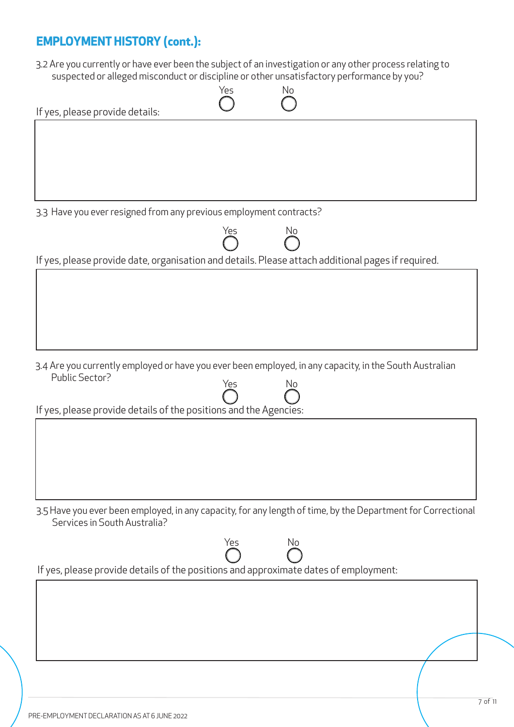#### **EMPLOYMENT HISTORY (cont.):**

3.2 Are you currently or have ever been the subject of an investigation or any other process relating to suspected or alleged misconduct or discipline or other unsatisfactory performance by you?

| suspected or alleged misconduct or discipline or other unsatisfactory performance by you?                    |     |    |  |
|--------------------------------------------------------------------------------------------------------------|-----|----|--|
|                                                                                                              | Yes | No |  |
|                                                                                                              |     |    |  |
| If yes, please provide details:                                                                              |     |    |  |
|                                                                                                              |     |    |  |
|                                                                                                              |     |    |  |
|                                                                                                              |     |    |  |
|                                                                                                              |     |    |  |
|                                                                                                              |     |    |  |
|                                                                                                              |     |    |  |
|                                                                                                              |     |    |  |
| 3.3 Have you ever resigned from any previous employment contracts?                                           |     |    |  |
|                                                                                                              |     |    |  |
|                                                                                                              | Yes | No |  |
|                                                                                                              |     |    |  |
| If yes, please provide date, organisation and details. Please attach additional pages if required.           |     |    |  |
|                                                                                                              |     |    |  |
|                                                                                                              |     |    |  |
|                                                                                                              |     |    |  |
|                                                                                                              |     |    |  |
|                                                                                                              |     |    |  |
|                                                                                                              |     |    |  |
|                                                                                                              |     |    |  |
|                                                                                                              |     |    |  |
| 3.4 Are you currently employed or have you ever been employed, in any capacity, in the South Australian      |     |    |  |
| Public Sector?                                                                                               | Yes | No |  |
|                                                                                                              |     |    |  |
|                                                                                                              |     |    |  |
| If yes, please provide details of the positions and the Agencies:                                            |     |    |  |
|                                                                                                              |     |    |  |
|                                                                                                              |     |    |  |
|                                                                                                              |     |    |  |
|                                                                                                              |     |    |  |
|                                                                                                              |     |    |  |
|                                                                                                              |     |    |  |
|                                                                                                              |     |    |  |
| 3.5 Have you ever been employed, in any capacity, for any length of time, by the Department for Correctional |     |    |  |
| Services in South Australia?                                                                                 |     |    |  |
|                                                                                                              |     |    |  |
|                                                                                                              | Yes | No |  |
|                                                                                                              |     |    |  |
| If yes, please provide details of the positions and approximate dates of employment:                         |     |    |  |
|                                                                                                              |     |    |  |
|                                                                                                              |     |    |  |
|                                                                                                              |     |    |  |
|                                                                                                              |     |    |  |
|                                                                                                              |     |    |  |
|                                                                                                              |     |    |  |
|                                                                                                              |     |    |  |
|                                                                                                              |     |    |  |
|                                                                                                              |     |    |  |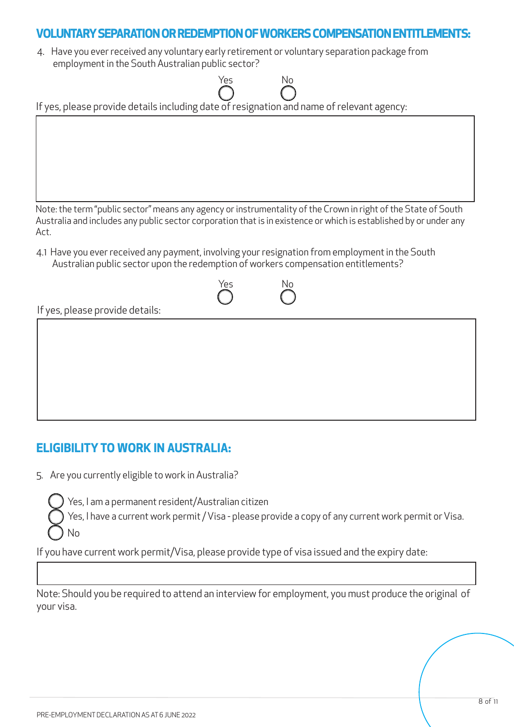#### **VOLUNTARY SEPARATION OR REDEMPTION OF WORKERS COMPENSATION ENTITLEMENTS:**

4. Have you ever received any voluntary early retirement or voluntary separation package from employment in the South Australian public sector?

| Yes<br>No<br>If yes, please provide details including date of resignation and name of relevant agency:                                                                                                                                      |
|---------------------------------------------------------------------------------------------------------------------------------------------------------------------------------------------------------------------------------------------|
|                                                                                                                                                                                                                                             |
|                                                                                                                                                                                                                                             |
| Note: the term "public sector" means any agency or instrumentality of the Crown in right of the State of South<br>Australia and includes any public sector corporation that is in existence or which is established by or under any<br>Act. |
| 4.1 Have you ever received any payment, involving your resignation from employment in the South<br>Australian public sector upon the redemption of workers compensation entitlements?                                                       |
| Yes<br>No                                                                                                                                                                                                                                   |



#### **ELIGIBILITY TO WORK IN AUSTRALIA:**

5. Are you currently eligible to work in Australia?

Yes, I am a permanent resident/Australian citizen

Yes, I have a current work permit / Visa - please provide a copy of any current work permit or Visa. No

If you have current work permit/Visa, please provide type of visa issued and the expiry date:

Note: Should you be required to attend an interview for employment, you must produce the original of your visa.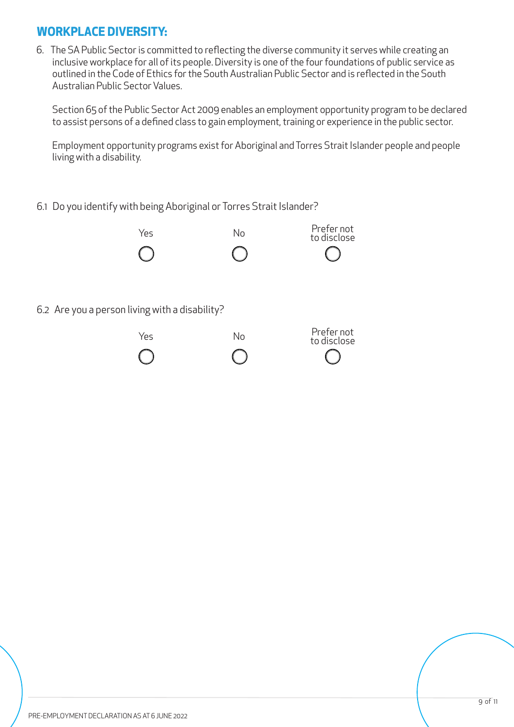#### **WORKPLACE DIVERSITY:**

6. The SA Public Sector is committed to reflecting the diverse community it serves while creating an inclusive workplace for all of its people. Diversity is one of the four foundations of public service as outlined in the Code of Ethics for the South Australian Public Sector and is reflected in the South Australian Public Sector Values.

Section 65 of the Public Sector Act 2009 enables an employment opportunity program to be declared to assist persons of a defined class to gain employment, training or experience in the public sector.

Employment opportunity programs exist for Aboriginal and Torres Strait Islander people and people living with a disability.

#### 6.1 Do you identify with being Aboriginal or Torres Strait Islander?



6.2 Are you a person living with a disability?

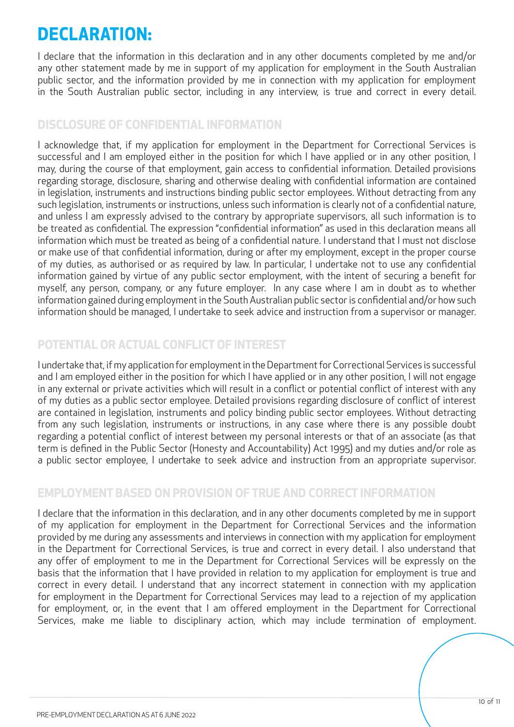### **DECLARATION:**

I declare that the information in this declaration and in any other documents completed by me and/or any other statement made by me in support of my application for employment in the South Australian public sector, and the information provided by me in connection with my application for employment in the South Australian public sector, including in any interview, is true and correct in every detail.

#### **DISCLOSURE OF CONFIDENTIAL INFORMATION**

I acknowledge that, if my application for employment in the Department for Correctional Services is successful and I am employed either in the position for which I have applied or in any other position, I may, during the course of that employment, gain access to confidential information. Detailed provisions regarding storage, disclosure, sharing and otherwise dealing with confidential information are contained in legislation, instruments and instructions binding public sector employees. Without detracting from any such legislation, instruments or instructions, unless such information is clearly not of a confidential nature, and unless I am expressly advised to the contrary by appropriate supervisors, all such information is to be treated as confidential. The expression "confidential information" as used in this declaration means all information which must be treated as being of a confidential nature. I understand that I must not disclose or make use of that confidential information, during or after my employment, except in the proper course of my duties, as authorised or as required by law. In particular, I undertake not to use any confidential information gained by virtue of any public sector employment, with the intent of securing a benefit for myself, any person, company, or any future employer. In any case where I am in doubt as to whether information gained during employment in the South Australian public sector is confidential and/or how such information should be managed, I undertake to seek advice and instruction from a supervisor or manager.

#### **POTENTIAL OR ACTUAL CONFLICT OF INTEREST**

I undertake that, if my application for employment in the Department for Correctional Services is successful and I am employed either in the position for which I have applied or in any other position, I will not engage in any external or private activities which will result in a conflict or potential conflict of interest with any of my duties as a public sector employee. Detailed provisions regarding disclosure of conflict of interest are contained in legislation, instruments and policy binding public sector employees. Without detracting from any such legislation, instruments or instructions, in any case where there is any possible doubt regarding a potential conflict of interest between my personal interests or that of an associate (as that term is defined in the Public Sector (Honesty and Accountability) Act 1995) and my duties and/or role as a public sector employee, I undertake to seek advice and instruction from an appropriate supervisor.

#### **EMPLOYMENT BASED ON PROVISION OF TRUE AND CORRECT INFORMATION**

I declare that the information in this declaration, and in any other documents completed by me in support of my application for employment in the Department for Correctional Services and the information provided by me during any assessments and interviews in connection with my application for employment in the Department for Correctional Services, is true and correct in every detail. I also understand that any offer of employment to me in the Department for Correctional Services will be expressly on the basis that the information that I have provided in relation to my application for employment is true and correct in every detail. I understand that any incorrect statement in connection with my application for employment in the Department for Correctional Services may lead to a rejection of my application for employment, or, in the event that I am offered employment in the Department for Correctional Services, make me liable to disciplinary action, which may include termination of employment.